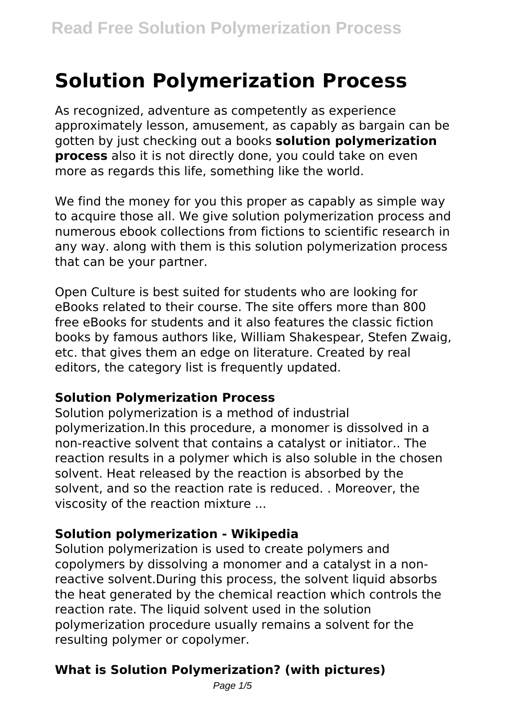# **Solution Polymerization Process**

As recognized, adventure as competently as experience approximately lesson, amusement, as capably as bargain can be gotten by just checking out a books **solution polymerization process** also it is not directly done, you could take on even more as regards this life, something like the world.

We find the money for you this proper as capably as simple way to acquire those all. We give solution polymerization process and numerous ebook collections from fictions to scientific research in any way. along with them is this solution polymerization process that can be your partner.

Open Culture is best suited for students who are looking for eBooks related to their course. The site offers more than 800 free eBooks for students and it also features the classic fiction books by famous authors like, William Shakespear, Stefen Zwaig, etc. that gives them an edge on literature. Created by real editors, the category list is frequently updated.

#### **Solution Polymerization Process**

Solution polymerization is a method of industrial polymerization.In this procedure, a monomer is dissolved in a non-reactive solvent that contains a catalyst or initiator.. The reaction results in a polymer which is also soluble in the chosen solvent. Heat released by the reaction is absorbed by the solvent, and so the reaction rate is reduced. . Moreover, the viscosity of the reaction mixture ...

#### **Solution polymerization - Wikipedia**

Solution polymerization is used to create polymers and copolymers by dissolving a monomer and a catalyst in a nonreactive solvent.During this process, the solvent liquid absorbs the heat generated by the chemical reaction which controls the reaction rate. The liquid solvent used in the solution polymerization procedure usually remains a solvent for the resulting polymer or copolymer.

## **What is Solution Polymerization? (with pictures)**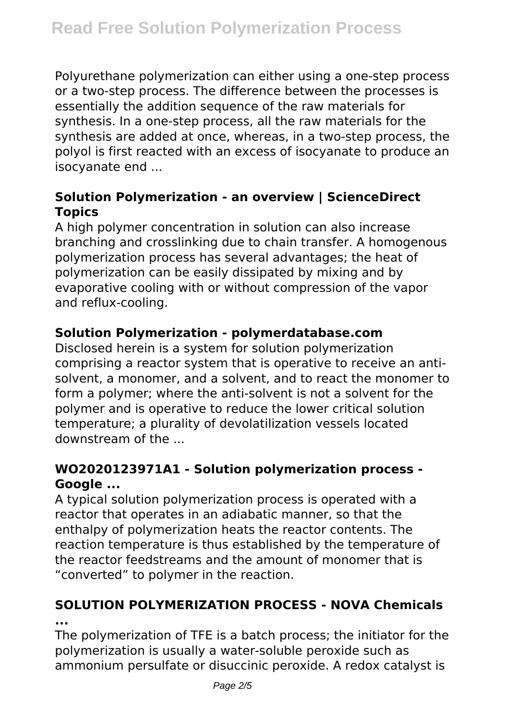Polyurethane polymerization can either using a one-step process or a two-step process. The difference between the processes is essentially the addition sequence of the raw materials for synthesis. In a one-step process, all the raw materials for the synthesis are added at once, whereas, in a two-step process, the polyol is first reacted with an excess of isocyanate to produce an isocyanate end ...

## **Solution Polymerization - an overview | ScienceDirect Topics**

A high polymer concentration in solution can also increase branching and crosslinking due to chain transfer. A homogenous polymerization process has several advantages; the heat of polymerization can be easily dissipated by mixing and by evaporative cooling with or without compression of the vapor and reflux-cooling.

## **Solution Polymerization - polymerdatabase.com**

Disclosed herein is a system for solution polymerization comprising a reactor system that is operative to receive an antisolvent, a monomer, and a solvent, and to react the monomer to form a polymer; where the anti-solvent is not a solvent for the polymer and is operative to reduce the lower critical solution temperature; a plurality of devolatilization vessels located downstream of the ...

## **WO2020123971A1 - Solution polymerization process - Google ...**

A typical solution polymerization process is operated with a reactor that operates in an adiabatic manner, so that the enthalpy of polymerization heats the reactor contents. The reaction temperature is thus established by the temperature of the reactor feedstreams and the amount of monomer that is "converted" to polymer in the reaction.

## **SOLUTION POLYMERIZATION PROCESS - NOVA Chemicals ...**

The polymerization of TFE is a batch process; the initiator for the polymerization is usually a water-soluble peroxide such as ammonium persulfate or disuccinic peroxide. A redox catalyst is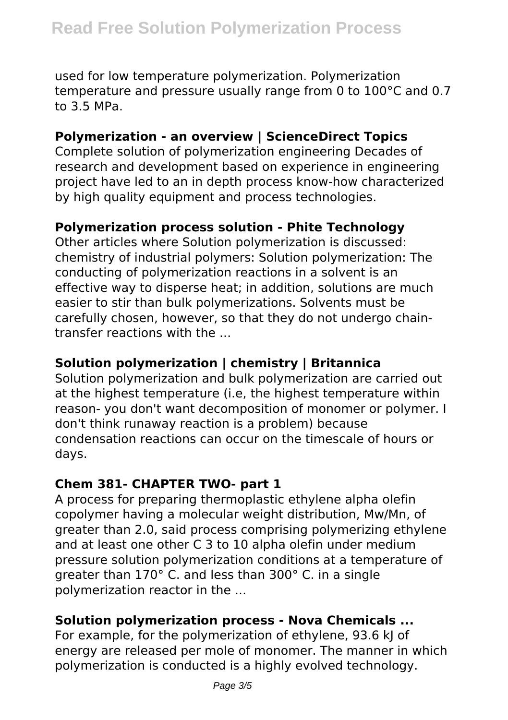used for low temperature polymerization. Polymerization temperature and pressure usually range from 0 to 100°C and 0.7 to 3.5 MPa.

#### **Polymerization - an overview | ScienceDirect Topics**

Complete solution of polymerization engineering Decades of research and development based on experience in engineering project have led to an in depth process know-how characterized by high quality equipment and process technologies.

#### **Polymerization process solution - Phite Technology**

Other articles where Solution polymerization is discussed: chemistry of industrial polymers: Solution polymerization: The conducting of polymerization reactions in a solvent is an effective way to disperse heat; in addition, solutions are much easier to stir than bulk polymerizations. Solvents must be carefully chosen, however, so that they do not undergo chaintransfer reactions with the ...

#### **Solution polymerization | chemistry | Britannica**

Solution polymerization and bulk polymerization are carried out at the highest temperature (i.e, the highest temperature within reason- you don't want decomposition of monomer or polymer. I don't think runaway reaction is a problem) because condensation reactions can occur on the timescale of hours or days.

#### **Chem 381- CHAPTER TWO- part 1**

A process for preparing thermoplastic ethylene alpha olefin copolymer having a molecular weight distribution, Mw/Mn, of greater than 2.0, said process comprising polymerizing ethylene and at least one other C 3 to 10 alpha olefin under medium pressure solution polymerization conditions at a temperature of greater than 170° C. and less than 300° C. in a single polymerization reactor in the ...

#### **Solution polymerization process - Nova Chemicals ...**

For example, for the polymerization of ethylene, 93.6 kJ of energy are released per mole of monomer. The manner in which polymerization is conducted is a highly evolved technology.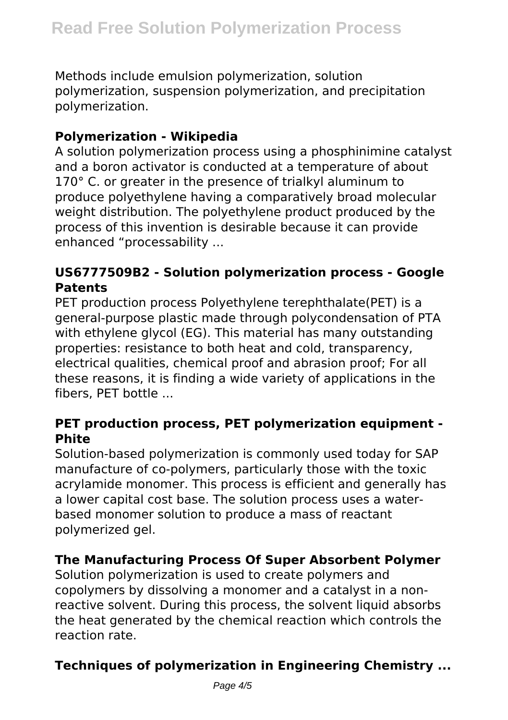Methods include emulsion polymerization, solution polymerization, suspension polymerization, and precipitation polymerization.

## **Polymerization - Wikipedia**

A solution polymerization process using a phosphinimine catalyst and a boron activator is conducted at a temperature of about 170° C, or greater in the presence of trialkyl aluminum to produce polyethylene having a comparatively broad molecular weight distribution. The polyethylene product produced by the process of this invention is desirable because it can provide enhanced "processability ...

#### **US6777509B2 - Solution polymerization process - Google Patents**

PET production process Polyethylene terephthalate(PET) is a general-purpose plastic made through polycondensation of PTA with ethylene glycol (EG). This material has many outstanding properties: resistance to both heat and cold, transparency, electrical qualities, chemical proof and abrasion proof; For all these reasons, it is finding a wide variety of applications in the fibers, PET bottle ...

#### **PET production process, PET polymerization equipment - Phite**

Solution-based polymerization is commonly used today for SAP manufacture of co-polymers, particularly those with the toxic acrylamide monomer. This process is efficient and generally has a lower capital cost base. The solution process uses a waterbased monomer solution to produce a mass of reactant polymerized gel.

## **The Manufacturing Process Of Super Absorbent Polymer**

Solution polymerization is used to create polymers and copolymers by dissolving a monomer and a catalyst in a nonreactive solvent. During this process, the solvent liquid absorbs the heat generated by the chemical reaction which controls the reaction rate.

## **Techniques of polymerization in Engineering Chemistry ...**